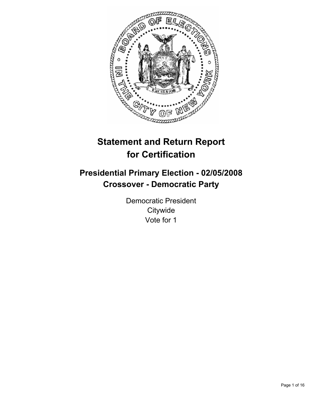

# **Statement and Return Report for Certification**

## **Presidential Primary Election - 02/05/2008 Crossover - Democratic Party**

Democratic President **Citywide** Vote for 1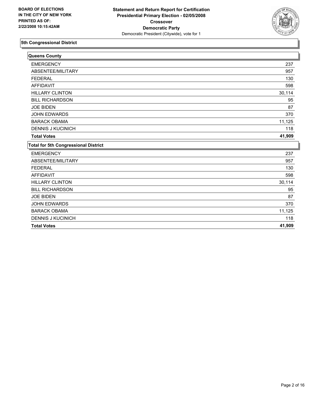

| Queens County                               |        |
|---------------------------------------------|--------|
| <b>EMERGENCY</b>                            | 237    |
| ABSENTEE/MILITARY                           | 957    |
| <b>FEDERAL</b>                              | 130    |
| <b>AFFIDAVIT</b>                            | 598    |
| <b>HILLARY CLINTON</b>                      | 30,114 |
| <b>BILL RICHARDSON</b>                      | 95     |
| <b>JOE BIDEN</b>                            | 87     |
| JOHN EDWARDS                                | 370    |
| <b>BARACK OBAMA</b>                         | 11,125 |
| <b>DENNIS J KUCINICH</b>                    | 118    |
| <b>Total Votes</b>                          | 41,909 |
| <b>Total for 5th Congressional District</b> |        |
| <b>EMERGENCY</b>                            | 237    |
| ABSENTEE/MILITARY                           | 957    |
| <b>FEDERAL</b>                              | 130    |
| <b>AFFIDAVIT</b>                            | 598    |
| <b>HILLARY CLINTON</b>                      | 30,114 |
| <b>BILL RICHARDSON</b>                      | 95     |
| <b>JOE BIDEN</b>                            | 87     |
| <b>JOHN EDWARDS</b>                         | 370    |
| <b>BARACK OBAMA</b>                         | 11,125 |
| <b>DENNIS J KUCINICH</b>                    | 118    |
| <b>Total Votes</b>                          | 41,909 |
|                                             |        |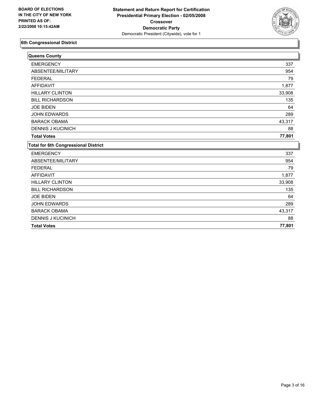

| Queens County                               |        |
|---------------------------------------------|--------|
| <b>EMERGENCY</b>                            | 337    |
| ABSENTEE/MILITARY                           | 954    |
| <b>FEDERAL</b>                              | 79     |
| <b>AFFIDAVIT</b>                            | 1,877  |
| <b>HILLARY CLINTON</b>                      | 33,908 |
| <b>BILL RICHARDSON</b>                      | 135    |
| <b>JOE BIDEN</b>                            | 64     |
| JOHN EDWARDS                                | 289    |
| <b>BARACK OBAMA</b>                         | 43,317 |
| <b>DENNIS J KUCINICH</b>                    | 88     |
| <b>Total Votes</b>                          | 77,801 |
| <b>Total for 6th Congressional District</b> |        |
| <b>EMERGENCY</b>                            | 337    |
| ABSENTEE/MILITARY                           | 954    |
| <b>FEDERAL</b>                              | 79     |
| <b>AFFIDAVIT</b>                            | 1,877  |
| <b>HILLARY CLINTON</b>                      | 33,908 |
| <b>BILL RICHARDSON</b>                      | 135    |
| <b>JOE BIDEN</b>                            | 64     |
| <b>JOHN EDWARDS</b>                         | 289    |
| <b>BARACK OBAMA</b>                         | 43,317 |
| <b>DENNIS J KUCINICH</b>                    | 88     |
| <b>Total Votes</b>                          | 77,801 |
|                                             |        |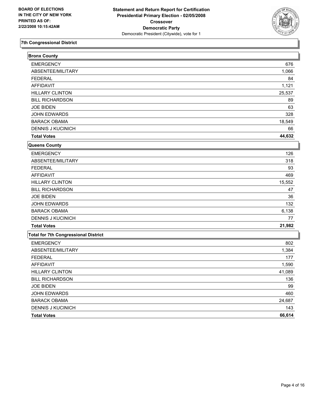

| <b>Bronx County</b>                         |        |
|---------------------------------------------|--------|
| <b>EMERGENCY</b>                            | 676    |
| ABSENTEE/MILITARY                           | 1,066  |
| <b>FEDERAL</b>                              | 84     |
| <b>AFFIDAVIT</b>                            | 1,121  |
| <b>HILLARY CLINTON</b>                      | 25,537 |
| <b>BILL RICHARDSON</b>                      | 89     |
| <b>JOE BIDEN</b>                            | 63     |
| JOHN EDWARDS                                | 328    |
| <b>BARACK OBAMA</b>                         | 18,549 |
| <b>DENNIS J KUCINICH</b>                    | 66     |
| <b>Total Votes</b>                          | 44,632 |
| Queens County                               |        |
| <b>EMERGENCY</b>                            | 126    |
| ABSENTEE/MILITARY                           | 318    |
| <b>FEDERAL</b>                              | 93     |
| <b>AFFIDAVIT</b>                            | 469    |
| <b>HILLARY CLINTON</b>                      | 15,552 |
| <b>BILL RICHARDSON</b>                      | 47     |
| <b>JOE BIDEN</b>                            | 36     |
| JOHN EDWARDS                                | 132    |
| <b>BARACK OBAMA</b>                         | 6,138  |
| <b>DENNIS J KUCINICH</b>                    | 77     |
| <b>Total Votes</b>                          | 21,982 |
| <b>Total for 7th Congressional District</b> |        |
| <b>EMERGENCY</b>                            | 802    |
| ABSENTEE/MILITARY                           | 1,384  |
| <b>FEDERAL</b>                              | 177    |
| <b>AFFIDAVIT</b>                            | 1,590  |
| <b>HILLARY CLINTON</b>                      | 41,089 |
| <b>BILL RICHARDSON</b>                      | 136    |
| JOE BIDEN                                   | 99     |
| JOHN EDWARDS                                | 460    |
| <b>BARACK OBAMA</b>                         | 24,687 |
| DENNIS J KUCINICH                           | 143    |
| <b>Total Votes</b>                          | 66,614 |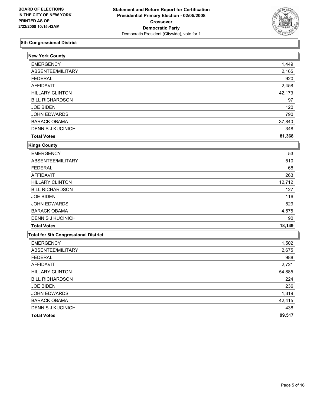

| <b>New York County</b>                      |        |
|---------------------------------------------|--------|
| <b>EMERGENCY</b>                            | 1,449  |
| ABSENTEE/MILITARY                           | 2,165  |
| <b>FEDERAL</b>                              | 920    |
| <b>AFFIDAVIT</b>                            | 2,458  |
| <b>HILLARY CLINTON</b>                      | 42,173 |
| <b>BILL RICHARDSON</b>                      | 97     |
| <b>JOE BIDEN</b>                            | 120    |
| <b>JOHN EDWARDS</b>                         | 790    |
| <b>BARACK OBAMA</b>                         | 37,840 |
| <b>DENNIS J KUCINICH</b>                    | 348    |
| <b>Total Votes</b>                          | 81,368 |
| <b>Kings County</b>                         |        |
| <b>EMERGENCY</b>                            | 53     |
| ABSENTEE/MILITARY                           | 510    |
| <b>FEDERAL</b>                              | 68     |
| <b>AFFIDAVIT</b>                            | 263    |
| <b>HILLARY CLINTON</b>                      | 12,712 |
| <b>BILL RICHARDSON</b>                      | 127    |
| <b>JOE BIDEN</b>                            | 116    |
| JOHN EDWARDS                                | 529    |
| <b>BARACK OBAMA</b>                         | 4,575  |
| <b>DENNIS J KUCINICH</b>                    | 90     |
| <b>Total Votes</b>                          | 18,149 |
| <b>Total for 8th Congressional District</b> |        |
| <b>EMERGENCY</b>                            | 1,502  |
| ABSENTEE/MILITARY                           | 2,675  |
| <b>FEDERAL</b>                              | 988    |
| <b>AFFIDAVIT</b>                            | 2,721  |
| <b>HILLARY CLINTON</b>                      | 54,885 |
| <b>BILL RICHARDSON</b>                      | 224    |
| <b>JOE BIDEN</b>                            | 236    |
| JOHN EDWARDS                                | 1,319  |
| <b>BARACK OBAMA</b>                         | 42,415 |
| DENNIS J KUCINICH                           | 438    |
| <b>Total Votes</b>                          | 99,517 |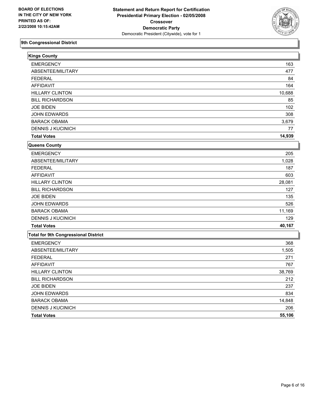

| <b>Kings County</b>                         |        |
|---------------------------------------------|--------|
| <b>EMERGENCY</b>                            | 163    |
| ABSENTEE/MILITARY                           | 477    |
| <b>FEDERAL</b>                              | 84     |
| <b>AFFIDAVIT</b>                            | 164    |
| <b>HILLARY CLINTON</b>                      | 10,688 |
| <b>BILL RICHARDSON</b>                      | 85     |
| <b>JOE BIDEN</b>                            | 102    |
| JOHN EDWARDS                                | 308    |
| <b>BARACK OBAMA</b>                         | 3,679  |
| <b>DENNIS J KUCINICH</b>                    | 77     |
| <b>Total Votes</b>                          | 14,939 |
| Queens County                               |        |
| <b>EMERGENCY</b>                            | 205    |
| ABSENTEE/MILITARY                           | 1,028  |
| <b>FEDERAL</b>                              | 187    |
| <b>AFFIDAVIT</b>                            | 603    |
| <b>HILLARY CLINTON</b>                      | 28,081 |
| <b>BILL RICHARDSON</b>                      | 127    |
| <b>JOE BIDEN</b>                            | 135    |
| JOHN EDWARDS                                | 526    |
| <b>BARACK OBAMA</b>                         | 11,169 |
| <b>DENNIS J KUCINICH</b>                    | 129    |
| <b>Total Votes</b>                          | 40,167 |
| <b>Total for 9th Congressional District</b> |        |
| <b>EMERGENCY</b>                            | 368    |
| ABSENTEE/MILITARY                           | 1,505  |
| <b>FEDERAL</b>                              | 271    |
| <b>AFFIDAVIT</b>                            | 767    |
| <b>HILLARY CLINTON</b>                      | 38,769 |
| <b>BILL RICHARDSON</b>                      | 212    |
| <b>JOE BIDEN</b>                            | 237    |
| JOHN EDWARDS                                | 834    |
| <b>BARACK OBAMA</b>                         | 14,848 |
| DENNIS J KUCINICH                           | 206    |
| <b>Total Votes</b>                          | 55,106 |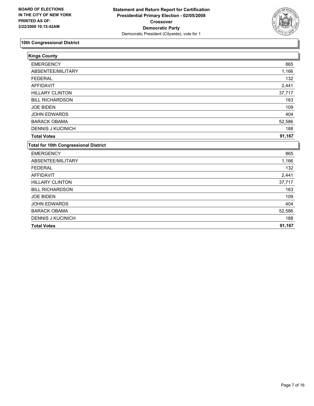

| <b>Kings County</b>                          |        |
|----------------------------------------------|--------|
| <b>EMERGENCY</b>                             | 865    |
| ABSENTEE/MILITARY                            | 1,166  |
| <b>FEDERAL</b>                               | 132    |
| <b>AFFIDAVIT</b>                             | 2,441  |
| <b>HILLARY CLINTON</b>                       | 37,717 |
| <b>BILL RICHARDSON</b>                       | 163    |
| <b>JOE BIDEN</b>                             | 109    |
| JOHN EDWARDS                                 | 404    |
| <b>BARACK OBAMA</b>                          | 52,586 |
| <b>DENNIS J KUCINICH</b>                     | 188    |
| <b>Total Votes</b>                           | 91,167 |
| <b>Total for 10th Congressional District</b> |        |
| <b>EMERGENCY</b>                             | 865    |
| ABSENTEE/MILITARY                            | 1,166  |
| <b>FEDERAL</b>                               | 132    |
| <b>AFFIDAVIT</b>                             | 2,441  |
| <b>HILLARY CLINTON</b>                       | 37,717 |
| <b>BILL RICHARDSON</b>                       | 163    |
| <b>JOE BIDEN</b>                             | 109    |
| <b>JOHN EDWARDS</b>                          | 404    |
| <b>BARACK OBAMA</b>                          | 52,586 |
| <b>DENNIS J KUCINICH</b>                     | 188    |
| <b>Total Votes</b>                           | 91,167 |
|                                              |        |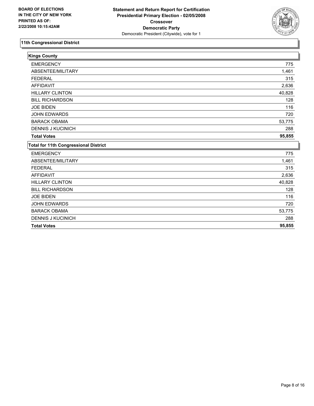

| <b>Kings County</b>                          |        |
|----------------------------------------------|--------|
| <b>EMERGENCY</b>                             | 775    |
| ABSENTEE/MILITARY                            | 1,461  |
| <b>FEDERAL</b>                               | 315    |
| <b>AFFIDAVIT</b>                             | 2,636  |
| <b>HILLARY CLINTON</b>                       | 40,828 |
| <b>BILL RICHARDSON</b>                       | 128    |
| <b>JOE BIDEN</b>                             | 116    |
| JOHN EDWARDS                                 | 720    |
| <b>BARACK OBAMA</b>                          | 53,775 |
| <b>DENNIS J KUCINICH</b>                     | 288    |
| <b>Total Votes</b>                           | 95,855 |
| <b>Total for 11th Congressional District</b> |        |
| <b>EMERGENCY</b>                             | 775    |
| ABSENTEE/MILITARY                            | 1,461  |
| <b>FEDERAL</b>                               | 315    |
| <b>AFFIDAVIT</b>                             | 2,636  |
| <b>HILLARY CLINTON</b>                       | 40,828 |
| <b>BILL RICHARDSON</b>                       | 128    |
| <b>JOE BIDEN</b>                             | 116    |
| <b>JOHN EDWARDS</b>                          | 720    |
| <b>BARACK OBAMA</b>                          | 53,775 |
| <b>DENNIS J KUCINICH</b>                     | 288    |
| <b>Total Votes</b>                           | 95,855 |
|                                              |        |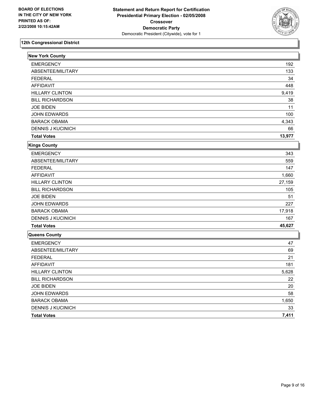

| <b>New York County</b>   |        |
|--------------------------|--------|
| <b>EMERGENCY</b>         | 192    |
| ABSENTEE/MILITARY        | 133    |
| <b>FEDERAL</b>           | 34     |
| <b>AFFIDAVIT</b>         | 448    |
| <b>HILLARY CLINTON</b>   | 9,419  |
| <b>BILL RICHARDSON</b>   | 38     |
| <b>JOE BIDEN</b>         | 11     |
| JOHN EDWARDS             | 100    |
| <b>BARACK OBAMA</b>      | 4,343  |
| <b>DENNIS J KUCINICH</b> | 66     |
| <b>Total Votes</b>       | 13,977 |
| Kings County             |        |
| <b>EMERGENCY</b>         | 343    |
| ABSENTEE/MILITARY        | 559    |
| <b>FEDERAL</b>           | 147    |
| <b>AFFIDAVIT</b>         | 1,660  |
| <b>HILLARY CLINTON</b>   | 27,159 |
| <b>BILL RICHARDSON</b>   | 105    |
| <b>JOE BIDEN</b>         | 51     |
| <b>JOHN EDWARDS</b>      | 227    |
| <b>BARACK OBAMA</b>      | 17,918 |
| <b>DENNIS J KUCINICH</b> | 167    |
| <b>Total Votes</b>       | 45,627 |
| Queens County            |        |
| <b>EMERGENCY</b>         | 47     |
| ABSENTEE/MILITARY        | 69     |
| <b>FEDERAL</b>           | 21     |
| <b>AFFIDAVIT</b>         | 181    |
| <b>HILLARY CLINTON</b>   | 5,628  |
| <b>BILL RICHARDSON</b>   | 22     |
| <b>JOE BIDEN</b>         | 20     |
| JOHN EDWARDS             | 58     |
| <b>BARACK OBAMA</b>      | 1,650  |
| <b>DENNIS J KUCINICH</b> | 33     |
| <b>Total Votes</b>       | 7,411  |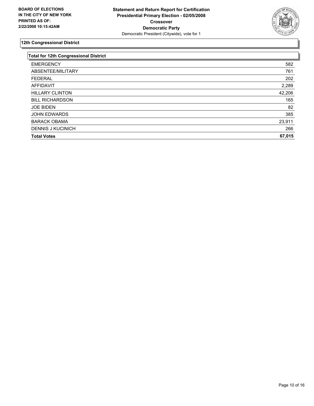

| <b>Total for 12th Congressional District</b> |        |
|----------------------------------------------|--------|
| <b>EMERGENCY</b>                             | 582    |
| ABSENTEE/MILITARY                            | 761    |
| <b>FEDERAL</b>                               | 202    |
| AFFIDAVIT                                    | 2,289  |
| <b>HILLARY CLINTON</b>                       | 42,206 |
| <b>BILL RICHARDSON</b>                       | 165    |
| <b>JOE BIDEN</b>                             | 82     |
| <b>JOHN EDWARDS</b>                          | 385    |
| <b>BARACK OBAMA</b>                          | 23,911 |
| <b>DENNIS J KUCINICH</b>                     | 266    |
| <b>Total Votes</b>                           | 67,015 |
|                                              |        |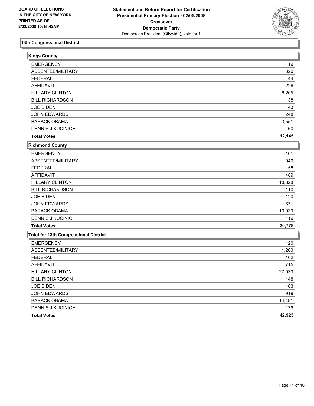

| 19<br>320<br>44 |
|-----------------|
|                 |
|                 |
|                 |
|                 |
| 226             |
| 8,205           |
| 38              |
| 43              |
| 248             |
| 3,551           |
| 60              |
| 12,145          |
|                 |
| 101             |
| 940             |
| 58              |
| 489             |
| 18,828          |
| 110             |
| 120             |
| 671             |
| 10,930          |
| 119             |
| 30,778          |
|                 |
| 120             |
| 1,260           |
| 102             |
| 715             |
| 27,033          |
| 148             |
| 163             |
| 919             |
| 14,481          |
| 179             |
| 42,923          |
|                 |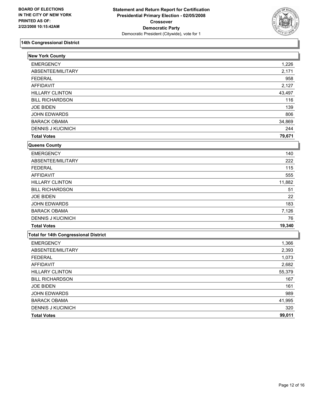

| <b>New York County</b>                |        |
|---------------------------------------|--------|
| <b>EMERGENCY</b>                      | 1,226  |
| ABSENTEE/MILITARY                     | 2,171  |
| <b>FEDERAL</b>                        | 958    |
| <b>AFFIDAVIT</b>                      | 2,127  |
| <b>HILLARY CLINTON</b>                | 43,497 |
| <b>BILL RICHARDSON</b>                | 116    |
| <b>JOE BIDEN</b>                      | 139    |
| JOHN EDWARDS                          | 806    |
| <b>BARACK OBAMA</b>                   | 34,869 |
| <b>DENNIS J KUCINICH</b>              | 244    |
| <b>Total Votes</b>                    | 79,671 |
| Queens County                         |        |
| <b>EMERGENCY</b>                      | 140    |
| ABSENTEE/MILITARY                     | 222    |
| <b>FEDERAL</b>                        | 115    |
| <b>AFFIDAVIT</b>                      | 555    |
| <b>HILLARY CLINTON</b>                | 11,882 |
| <b>BILL RICHARDSON</b>                | 51     |
| <b>JOE BIDEN</b>                      | 22     |
| JOHN EDWARDS                          | 183    |
| <b>BARACK OBAMA</b>                   | 7,126  |
| <b>DENNIS J KUCINICH</b>              | 76     |
| <b>Total Votes</b>                    | 19,340 |
| Total for 14th Congressional District |        |
| <b>EMERGENCY</b>                      | 1,366  |
| ABSENTEE/MILITARY                     | 2,393  |
| <b>FEDERAL</b>                        | 1,073  |
| <b>AFFIDAVIT</b>                      | 2,682  |
| <b>HILLARY CLINTON</b>                | 55,379 |
| <b>BILL RICHARDSON</b>                | 167    |
| <b>JOE BIDEN</b>                      | 161    |
| <b>JOHN EDWARDS</b>                   | 989    |
| <b>BARACK OBAMA</b>                   | 41,995 |
| DENNIS J KUCINICH                     | 320    |
| <b>Total Votes</b>                    | 99,011 |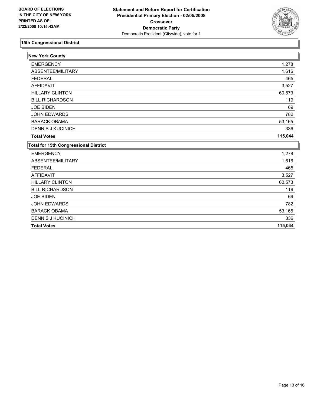

| <b>New York County</b>                       |         |
|----------------------------------------------|---------|
| <b>EMERGENCY</b>                             | 1,278   |
| ABSENTEE/MILITARY                            | 1,616   |
| <b>FEDERAL</b>                               | 465     |
| <b>AFFIDAVIT</b>                             | 3,527   |
| <b>HILLARY CLINTON</b>                       | 60,573  |
| <b>BILL RICHARDSON</b>                       | 119     |
| <b>JOE BIDEN</b>                             | 69      |
| JOHN EDWARDS                                 | 782     |
| <b>BARACK OBAMA</b>                          | 53,165  |
| <b>DENNIS J KUCINICH</b>                     | 336     |
| <b>Total Votes</b>                           | 115,044 |
| <b>Total for 15th Congressional District</b> |         |
| <b>EMERGENCY</b>                             | 1,278   |
| ABSENTEE/MILITARY                            | 1,616   |
| <b>FEDERAL</b>                               | 465     |
| <b>AFFIDAVIT</b>                             | 3,527   |
| <b>HILLARY CLINTON</b>                       | 60,573  |
| <b>BILL RICHARDSON</b>                       | 119     |
| <b>JOE BIDEN</b>                             | 69      |
| <b>JOHN EDWARDS</b>                          | 782     |
| <b>BARACK OBAMA</b>                          | 53,165  |
| <b>DENNIS J KUCINICH</b>                     | 336     |
| <b>Total Votes</b>                           | 115,044 |
|                                              |         |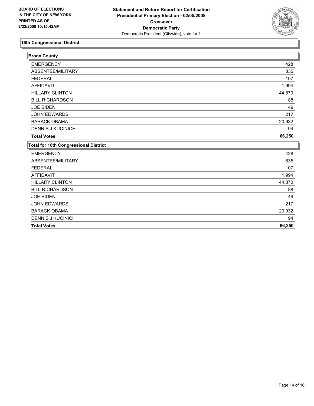

| <b>Bronx County</b>                          |        |
|----------------------------------------------|--------|
| <b>EMERGENCY</b>                             | 428    |
| ABSENTEE/MILITARY                            | 835    |
| <b>FEDERAL</b>                               | 107    |
| <b>AFFIDAVIT</b>                             | 1,994  |
| <b>HILLARY CLINTON</b>                       | 44,870 |
| <b>BILL RICHARDSON</b>                       | 88     |
| <b>JOE BIDEN</b>                             | 49     |
| JOHN EDWARDS                                 | 217    |
| <b>BARACK OBAMA</b>                          | 20,932 |
| <b>DENNIS J KUCINICH</b>                     | 94     |
| <b>Total Votes</b>                           | 66,250 |
| <b>Total for 16th Congressional District</b> |        |
| <b>EMERGENCY</b>                             | 428    |
| ABSENTEE/MILITARY                            | 835    |
| <b>FEDERAL</b>                               | 107    |
| <b>AFFIDAVIT</b>                             | 1,994  |
| <b>HILLARY CLINTON</b>                       | 44,870 |
| <b>BILL RICHARDSON</b>                       | 88     |
| <b>JOE BIDEN</b>                             | 49     |
| <b>JOHN EDWARDS</b>                          | 217    |
| <b>BARACK OBAMA</b>                          | 20,932 |
| <b>DENNIS J KUCINICH</b>                     | 94     |
| <b>Total Votes</b>                           | 66,250 |
|                                              |        |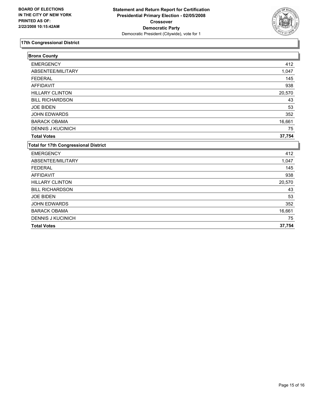

| <b>Bronx County</b>                          |        |
|----------------------------------------------|--------|
| <b>EMERGENCY</b>                             | 412    |
| ABSENTEE/MILITARY                            | 1,047  |
| <b>FEDERAL</b>                               | 145    |
| <b>AFFIDAVIT</b>                             | 938    |
| <b>HILLARY CLINTON</b>                       | 20,570 |
| <b>BILL RICHARDSON</b>                       | 43     |
| <b>JOE BIDEN</b>                             | 53     |
| <b>JOHN EDWARDS</b>                          | 352    |
| <b>BARACK OBAMA</b>                          | 16,661 |
| <b>DENNIS J KUCINICH</b>                     | 75     |
| <b>Total Votes</b>                           | 37,754 |
| <b>Total for 17th Congressional District</b> |        |
| <b>EMERGENCY</b>                             | 412    |
| ABSENTEE/MILITARY                            | 1,047  |
| <b>FEDERAL</b>                               | 145    |
| <b>AFFIDAVIT</b>                             | 938    |
| <b>HILLARY CLINTON</b>                       | 20,570 |
| <b>BILL RICHARDSON</b>                       | 43     |
| <b>JOE BIDEN</b>                             | 53     |
| <b>JOHN EDWARDS</b>                          | 352    |
| <b>BARACK OBAMA</b>                          | 16,661 |
| <b>DENNIS J KUCINICH</b>                     | 75     |
| <b>Total Votes</b>                           | 37,754 |
|                                              |        |